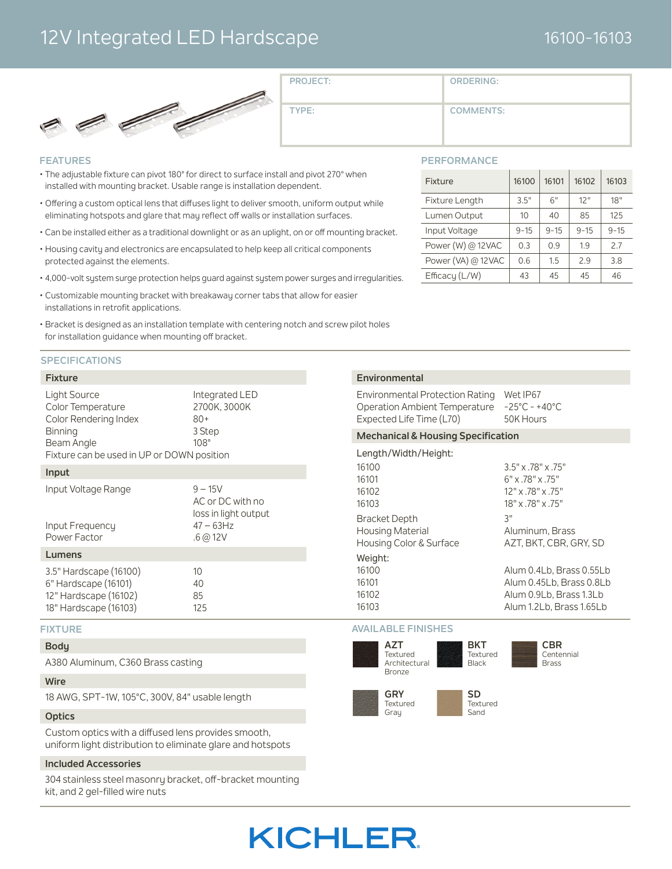### 12V Integrated LED Hardscape

### 16100-16103



**PROJECT:**

**TYPE:**

**COMMENTS:**

**ORDERING:**

#### **FEATURES**

- The adjustable fixture can pivot 180° for direct to surface install and pivot 270° when installed with mounting bracket. Usable range is installation dependent.
- Offering a custom optical lens that diffuses light to deliver smooth, uniform output while eliminating hotspots and glare that may reflect off walls or installation surfaces.
- Can be installed either as a traditional downlight or as an uplight, on or off mounting bracket.
- Housing cavity and electronics are encapsulated to help keep all critical components protected against the elements.
- 4,000-volt system surge protection helps guard against system power surges and irregularities.
- Customizable mounting bracket with breakaway corner tabs that allow for easier installations in retrofit applications.
- Bracket is designed as an installation template with centering notch and screw pilot holes for installation guidance when mounting off bracket.

#### **SPECIFICATIONS**

#### **Fixture**

| <b>Light Source</b><br>Color Temperature<br>Color Rendering Index<br><b>Binning</b><br>Beam Angle | Integrated LED<br>2700K, 3000K<br>$80+$<br>3 Step<br>$108^\circ$ |
|---------------------------------------------------------------------------------------------------|------------------------------------------------------------------|
| Fixture can be used in UP or DOWN position                                                        |                                                                  |
| Input                                                                                             |                                                                  |

| Input Voltage Range<br>Input Frequency<br>Power Factor                  | $9 - 15V$<br>AC or DC with no<br>loss in light output<br>$47 - 63$ Hz<br>.6@12V |  |  |  |
|-------------------------------------------------------------------------|---------------------------------------------------------------------------------|--|--|--|
| Lumens                                                                  |                                                                                 |  |  |  |
| 3.5" Hardscape (16100)<br>6" Hardscape (16101)<br>12" Hardscape (16102) | 10<br>40<br>85                                                                  |  |  |  |

#### **FIXTURE**

#### **Body**

A380 Aluminum, C360 Brass casting

18" Hardscape (16103) 125

#### **Wire**

18 AWG, SPT-1W, 105°C, 300V, 84" usable length

#### **Optics**

Custom optics with a diffused lens provides smooth, uniform light distribution to eliminate glare and hotspots

#### **Included Accessories**

304 stainless steel masonry bracket, off-bracket mounting kit, and 2 gel-filled wire nuts

#### **PERFORMANCE**

| Fixture            | 16100    | 16101    | 16102    | 16103    |
|--------------------|----------|----------|----------|----------|
| Fixture Length     | 3.5"     | 6"       | 12"      | 18"      |
| Lumen Output       | 10       | 40       | 85       | 125      |
| Input Voltage      | $9 - 15$ | $9 - 15$ | $9 - 15$ | $9 - 15$ |
| Power (W) @ 12VAC  | 0.3      | 0.9      | 1.9      | 2.7      |
| Power (VA) @ 12VAC | 0.6      | 1.5      | 29       | 3.8      |
| Efficacy (L/W)     | 43       | 45       | 45       | 46       |

#### **Environmental**

Environmental Protection Rating Wet IP67 Operation Ambient Temperature -25°C - +40°C Expected Life Time (L70) 50K Hours

#### **Mechanical & Housing Specification**

#### Length/Width/Height:

| 16100                                       | 3.5" x .78" x .75"                                                                                          |
|---------------------------------------------|-------------------------------------------------------------------------------------------------------------|
| 16101                                       | $6" \times .78" \times .75"$                                                                                |
| 16102                                       | 12" x .78" x .75"                                                                                           |
| 16103                                       | 18" x .78" x .75"                                                                                           |
| <b>Bracket Depth</b>                        | ٦"                                                                                                          |
| <b>Housing Material</b>                     | Aluminum, Brass                                                                                             |
| Housing Color & Surface                     | AZT. BKT. CBR. GRY. SD                                                                                      |
| Weight:<br>16100<br>16101<br>16102<br>16103 | Alum 0.4Lb, Brass 0.55Lb<br>Alum 0.45Lb, Brass 0.8Lb<br>Alum 0.9Lb, Brass 1.3Lb<br>Alum 1.2Lb, Brass 1.65Lb |

#### **AVAILABLE FINISHES**

Grau



Sand

# **KICHLER**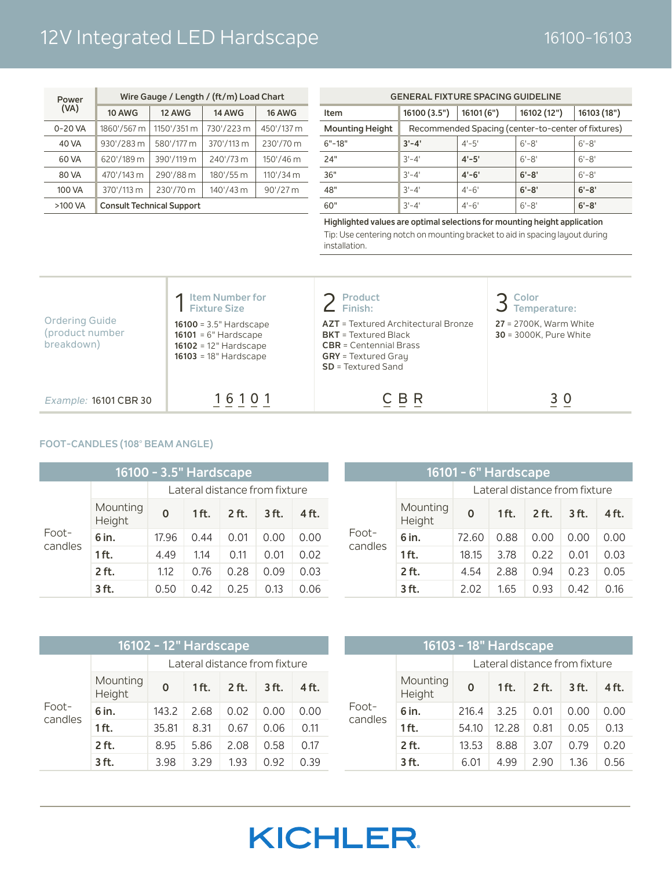## 12V Integrated LED Hardscape 16100-16103

| Power   | Wire Gauge / Length / (ft/m) Load Chart |                                  |               |                     |  |  |  |  |  |
|---------|-----------------------------------------|----------------------------------|---------------|---------------------|--|--|--|--|--|
| (VA)    | <b>10 AWG</b>                           | <b>12 AWG</b>                    | <b>14 AWG</b> | <b>16 AWG</b>       |  |  |  |  |  |
| 0-20 VA | 1860'/567 m                             | 1150'/351 m                      | 730'/223 m    | 450'/137 m          |  |  |  |  |  |
| 40 VA   | 930'/283 m                              | 580'/177 m                       | 370'/113 m    | 230'/70 m           |  |  |  |  |  |
| 60 VA   | 620'/189 m                              | 390'/119 m                       | 240'/73 m     | 150'/46 m           |  |  |  |  |  |
| 80 VA   | 470'/143 m                              | 290'/88 m                        | 180'/55 m     | $110'/34 \text{ m}$ |  |  |  |  |  |
| 100 VA  | 370'/113 m                              | 230'/70 m                        | 140'/43 m     | $90'/27$ m          |  |  |  |  |  |
| >100 VA |                                         | <b>Consult Technical Support</b> |               |                     |  |  |  |  |  |

| <b>GENERAL FIXTURE SPACING GUIDELINE</b> |              |                                                    |           |           |  |  |  |  |  |
|------------------------------------------|--------------|----------------------------------------------------|-----------|-----------|--|--|--|--|--|
| Item                                     | 16100 (3.5") | 16102 (12")<br>16101(6")<br>16103 (18")            |           |           |  |  |  |  |  |
| <b>Mounting Height</b>                   |              | Recommended Spacing (center-to-center of fixtures) |           |           |  |  |  |  |  |
| $6" - 18"$                               | $3' - 4'$    | $4' - 5'$                                          | $6' - 8'$ | $6' - 8'$ |  |  |  |  |  |
| 24"                                      | $3' - 4'$    | $4' - 5'$                                          | $6' - 8'$ | $6' - 8'$ |  |  |  |  |  |
| 36"                                      | $3' - 4'$    | $4' - 6'$                                          | $6' - 8'$ | $6' - 8'$ |  |  |  |  |  |
| 48"                                      | $3' - 4'$    | $4'-6'$                                            | $6' - 8'$ | $6' - 8'$ |  |  |  |  |  |
| 60"                                      | $3' - 4'$    | $4'-6'$                                            | $6' - 8'$ | $6' - 8'$ |  |  |  |  |  |

**Highlighted values are optimal selections for mounting height application** Tip: Use centering notch on mounting bracket to aid in spacing layout during installation.

| <b>Ordering Guide</b><br>(product number<br>breakdown) | <b>Item Number for<br/>Fixture Size</b><br>16100 = $3.5"$ Hardscape<br>$16101 = 6"$ Hardscape<br>$16102 = 12"$ Hardscape<br>$16103 = 18"$ Hardscape | <b>Product</b><br>Finish:<br><b>AZT</b> = Textured Architectural Bronze<br>$BKT = Textured Black$<br>$CBR = Centennial Brass$<br><b>GRY</b> = Textured Gray<br>$SD = Textured Sand$ | Color<br>Temperature:<br>$27 = 2700K$ , Warm White<br><b>30</b> = 3000K, Pure White |
|--------------------------------------------------------|-----------------------------------------------------------------------------------------------------------------------------------------------------|-------------------------------------------------------------------------------------------------------------------------------------------------------------------------------------|-------------------------------------------------------------------------------------|
| Example: 16101 CBR 30                                  | 16101                                                                                                                                               | B R                                                                                                                                                                                 | 3 O                                                                                 |

#### **FOOT-CANDLES (108**° **BEAM ANGLE)**

| 16100 - 3.5" Hardscape |                    |          |         |         |                               |       |  |
|------------------------|--------------------|----------|---------|---------|-------------------------------|-------|--|
|                        |                    |          |         |         | Lateral distance from fixture |       |  |
|                        | Mounting<br>Height | $\Omega$ | $1$ ft. | $2$ ft. | $3$ ft.                       | 4 ft. |  |
| Foot-                  | 6 in.              | 17.96    | 0.44    | 0.01    | 0.00                          | 0.00  |  |
| candles                | $1$ ft.            | 4.49     | 1.14    | 0.11    | 0.01                          | 0.02  |  |
|                        | 2 ft.              | 1.12     | 0.76    | 0.28    | 0.09                          | 0.03  |  |
|                        | 3 ft.              | 0.50     | 0.42    | O 25    | 0.13                          | 0.06  |  |

|         |                    | 16101 - 6" Hardscape |         |                               |         |       |
|---------|--------------------|----------------------|---------|-------------------------------|---------|-------|
|         |                    |                      |         | Lateral distance from fixture |         |       |
|         | Mounting<br>Height | $\Omega$             | $1$ ft. | 2 ft.                         | $3$ ft. | 4 ft. |
| Foot-   | 6 in.              | 72.60                | 0.88    | 0.00                          | 0.00    | 0.00  |
| candles | $1$ ft.            | 18.15                | 3.78    | 0.22                          | 0.01    | 0.03  |
|         | 2 ft.              | 4.54                 | 2.88    | 0.94                          | 0.23    | 0.05  |
|         | $3$ ft.            | 2.02                 | 1.65    | 0.93                          | 0.42    | 0.16  |

|                  | 16102 - 12" Hardscape |          |         |         |                               |       |  |                  |                    | 16103 - 18" Hardscape |                               |         |         |       |
|------------------|-----------------------|----------|---------|---------|-------------------------------|-------|--|------------------|--------------------|-----------------------|-------------------------------|---------|---------|-------|
|                  |                       |          |         |         | Lateral distance from fixture |       |  |                  |                    |                       | Lateral distance from fixture |         |         |       |
|                  | Mounting<br>Height    | $\Omega$ | $1$ ft. | $2$ ft. | $3$ ft.                       | 4 ft. |  |                  | Mounting<br>Height | $\Omega$              | 1 ft.                         | $2$ ft. | $3$ ft. | 4 ft. |
| Foot-<br>candles | 6 in.                 | 143.2    | 2.68    | 0.02    | 0.00                          | 0.00  |  | Foot-<br>candles | 6 in.              | 216.4                 | 3.25                          | 0.01    | 0.00    | 0.00  |
|                  | 1 ft.                 | 35.81    | 8.31    | 0.67    | 0.06                          | 0.11  |  |                  | $1$ ft.            | 54.10                 | 12.28                         | 0.81    | 0.05    | 0.13  |
|                  | 2 ft.                 | 8.95     | 5.86    | 2.08    | 0.58                          | 0.17  |  |                  | $2$ ft.            | 13.53                 | 8.88                          | 3.07    | 0.79    | 0.20  |
|                  | 3 ft.                 | 3.98     | 3.29    | 1.93    | 0.92                          | 0.39  |  |                  | 3 ft.              | 6.01                  | 4.99                          | 2.90    | 1.36    | 0.56  |

# **KICHLER**